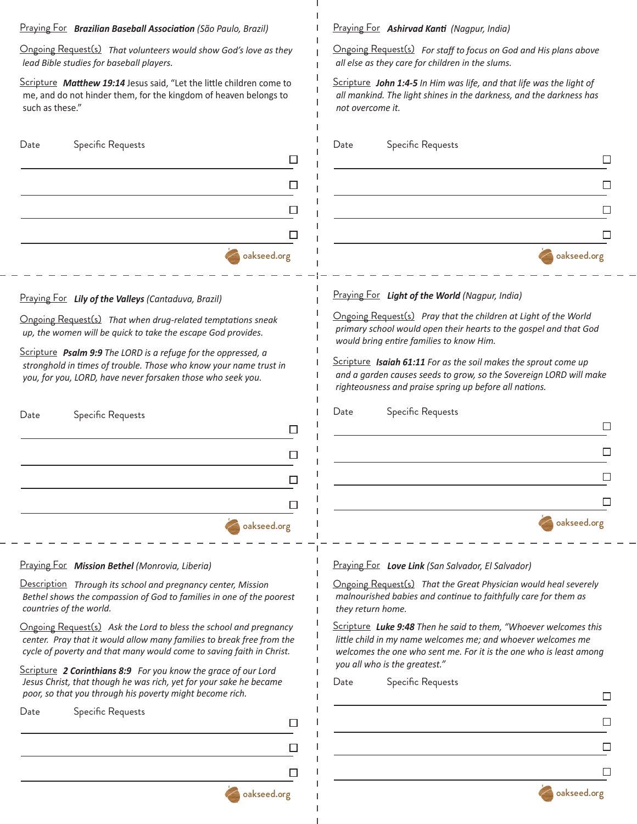#### Praying For *Brazilian Baseball Association (São Paulo, Brazil)*

Ongoing Request(s) *That volunteers would show God's love as they lead Bible studies for baseball players.*

Scripture *Matthew 19:14* Jesus said, "Let the little children come to me, and do not hinder them, for the kingdom of heaven belongs to such as these."

| Date | Specific Requests |             |
|------|-------------------|-------------|
|      |                   |             |
|      |                   |             |
|      |                   |             |
|      |                   |             |
|      |                   | oakseed.org |

#### Praying For *Lily of the Valleys (Cantaduva, Brazil)*

Ongoing Request(s) *That when drug-related temptations sneak up, the women will be quick to take the escape God provides.*

Scripture *Psalm 9:9 The LORD is a refuge for the oppressed, a stronghold in times of trouble. Those who know your name trust in you, for you, LORD, have never forsaken those who seek you.*

| Specific Requests |  |
|-------------------|--|
|                   |  |
|                   |  |
|                   |  |
|                   |  |
| oakseed.org       |  |

# Praying For *Mission Bethel (Monrovia, Liberia)*

Description *Through its school and pregnancy center, Mission Bethel shows the compassion of God to families in one of the poorest countries of the world.*

Ongoing Request(s) *Ask the Lord to bless the school and pregnancy center. Pray that it would allow many families to break free from the cycle of poverty and that many would come to saving faith in Christ.*

Scripture *2 Corinthians 8:9 For you know the grace of our Lord Jesus Christ, that though he was rich, yet for your sake he became poor, so that you through his poverty might become rich.*

oakseed.org

 $\Box$ 

П

 $\Box$ 

| Date |  | Specific Requests |
|------|--|-------------------|
|------|--|-------------------|

Praying For *Ashirvad Kanti (Nagpur, India)*

Ongoing Request(s) *For staff to focus on God and His plans above all else as they care for children in the slums.*

Scripture *John 1:4-5 In Him was life, and that life was the light of all mankind. The light shines in the darkness, and the darkness has not overcome it.*

| Date | Specific Requests |             |
|------|-------------------|-------------|
|      |                   |             |
|      |                   |             |
|      |                   |             |
|      |                   |             |
|      |                   | oakseed.org |

#### Praying For *Light of the World (Nagpur, India)*

Ongoing Request(s) *Pray that the children at Light of the World primary school would open their hearts to the gospel and that God would bring entire families to know Him.* 

Scripture *Isaiah 61:11 For as the soil makes the sprout come up and a garden causes seeds to grow, so the Sovereign LORD will make righteousness and praise spring up before all nations.*

Date Specific Requests П  $\Box$  $\Box$  $\Box$ oakseed.org

Praying For *Love Link (San Salvador, El Salvador)*

Ongoing Request(s) *That the Great Physician would heal severely malnourished babies and continue to faithfully care for them as they return home.*

Scripture *Luke 9:48 Then he said to them, "Whoever welcomes this little child in my name welcomes me; and whoever welcomes me welcomes the one who sent me. For it is the one who is least among you all who is the greatest."*

| Date |  | Specific Requests |
|------|--|-------------------|
|------|--|-------------------|

| oakseed.org |
|-------------|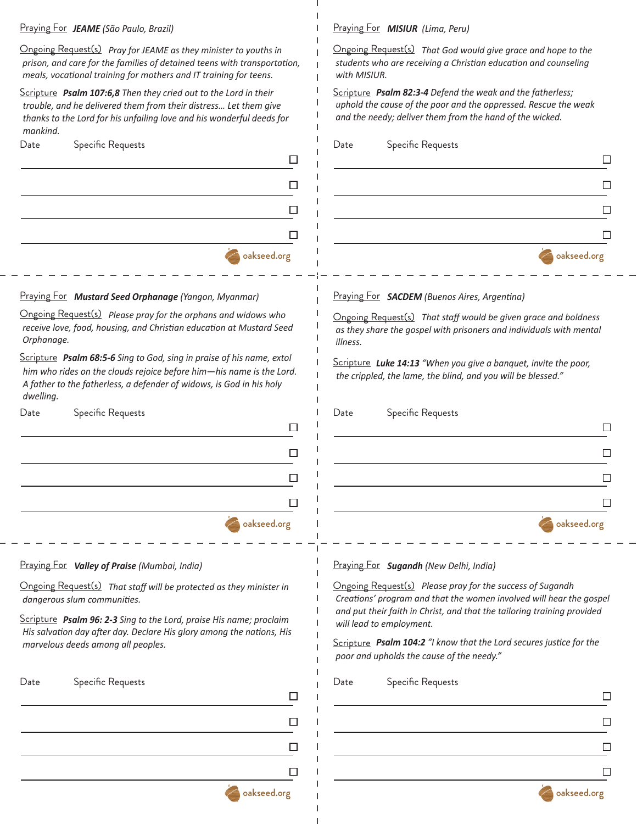### Praying For *JEAME (São Paulo, Brazil)*

Ongoing Request(s) *Pray for JEAME as they minister to youths in prison, and care for the families of detained teens with transportation, meals, vocational training for mothers and IT training for teens.* 

Scripture *Psalm 107:6,8 Then they cried out to the Lord in their trouble, and he delivered them from their distress… Let them give thanks to the Lord for his unfailing love and his wonderful deeds for mankind.* 

| <b>Dace</b> | opeding requests |                             |
|-------------|------------------|-----------------------------|
|             |                  |                             |
|             |                  |                             |
|             |                  |                             |
|             |                  | Ξ                           |
|             |                  |                             |
|             |                  | <b>Solution</b> oakseed.org |

## Praying For *Mustard Seed Orphanage (Yangon, Myanmar)*

Ongoing Request(s) *Please pray for the orphans and widows who receive love, food, housing, and Christian education at Mustard Seed Orphanage.* 

Scripture *Psalm 68:5-6 Sing to God, sing in praise of his name, extol him who rides on the clouds rejoice before him—his name is the Lord. A father to the fatherless, a defender of widows, is God in his holy dwelling.* 

| Date | Specific Requests |             |
|------|-------------------|-------------|
|      |                   | ┑           |
|      |                   |             |
|      |                   |             |
|      |                   |             |
|      |                   | oakseed.org |

Praying For *MISIUR (Lima, Peru)*

Ongoing Request(s) *That God would give grace and hope to the students who are receiving a Christian education and counseling with MISIUR.*  Scripture *Psalm 82:3-4 Defend the weak and the fatherless; uphold the cause of the poor and the oppressed. Rescue the weak and the needy; deliver them from the hand of the wicked.*  Date Specific Requests Date Specific Requests  $\Box$  $\Box$  $\Box$  $\Box$ oakseed.org Praying For *SACDEM (Buenos Aires, Argentina)* Ongoing Request(s) *That staff would be given grace and boldness as they share the gospel with prisoners and individuals with mental illness.*  Scripture *Luke 14:13 "When you give a banquet, invite the poor, the crippled, the lame, the blind, and you will be blessed."*  Date Specific Requests  $\Box$  $\Box$ П  $\Box$ oakseed.org Praying For *Valley of Praise (Mumbai, India)* Praying For *Sugandh (New Delhi, India)* Ongoing Request(s) *Please pray for the success of Sugandh*  Ongoing Request(s) *That staff will be protected as they minister in dangerous slum communities. Creations' program and that the women involved will hear the gospel and put their faith in Christ, and that the tailoring training provided*  Scripture *Psalm 96: 2-3 Sing to the Lord, praise His name; proclaim will lead to employment. His salvation day after day. Declare His glory among the nations, His*  Scripture *Psalm 104:2 "I know that the Lord secures justice for the marvelous deeds among all peoples. poor and upholds the cause of the needy."*  Date Specific Requests Date Specific Requests  $\Box$  $\Box$  $\Box$  $\Box$  $\Box$  $\Box$  $\Box$  $\Box$ oakseed.org oakseed.org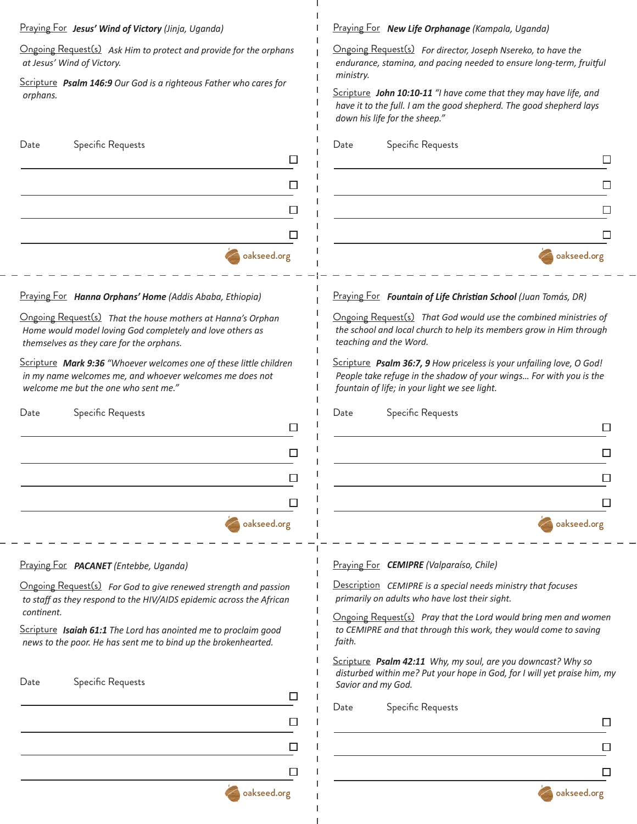# Praying For *Jesus' Wind of Victory (Jinja, Uganda)*

Ongoing Request(s) *Ask Him to protect and provide for the orphans at Jesus' Wind of Victory.* 

Scripture **Psalm 146:9** Our God is a righteous *orphans.* 

# oakseed.org Date Specific Requests

# **Praying For** *Hanna Orphans' Home* (Addis

**Ongoing Request(s)** That the house mother *Home would model loving God completely and Home would model loving God completely and*  $\theta$ *themselves as they care for the orphans.*

Scripture Mark 9:36 "Whoever welcomes of *in my name welcomes me, and whoever wel welcome me but the one who sent me."*

| Date | <b>Specific Requests</b> |             |
|------|--------------------------|-------------|
|      |                          |             |
|      |                          |             |
|      |                          |             |
|      |                          |             |
|      |                          | oakseed.org |

Praying For *New Life Orphanage (Kampala, Uganda)*

| d provide for the orphans                           | Ongoing Request(s) For director, Joseph Nsereko, to have the<br>endurance, stamina, and pacing needed to ensure long-term, fruitful<br>ministry.                                            |
|-----------------------------------------------------|---------------------------------------------------------------------------------------------------------------------------------------------------------------------------------------------|
| us Father who cares for                             | Scripture John 10:10-11 "I have come that they may have life, and<br>have it to the full. I am the good shepherd. The good shepherd lays<br>down his life for the sheep."                   |
|                                                     | Specific Requests<br>Date                                                                                                                                                                   |
|                                                     |                                                                                                                                                                                             |
|                                                     |                                                                                                                                                                                             |
|                                                     |                                                                                                                                                                                             |
|                                                     |                                                                                                                                                                                             |
| oakseed.org                                         | oakseed.org                                                                                                                                                                                 |
| Ababa, Ethiopia)                                    | Praying For Fountain of Life Christian School (Juan Tomás, DR)                                                                                                                              |
| rs at Hanna's Orphan<br>and love others as          | Ongoing Request(s) That God would use the combined ministries of<br>the school and local church to help its members grow in Him through<br>teaching and the Word.                           |
| ne of these little children<br>Icomes me does not   | Scripture Psalm 36:7, 9 How priceless is your unfailing love, O God!<br>People take refuge in the shadow of your wings For with you is the<br>fountain of life; in your light we see light. |
|                                                     | Date<br>Specific Requests                                                                                                                                                                   |
|                                                     |                                                                                                                                                                                             |
|                                                     |                                                                                                                                                                                             |
|                                                     |                                                                                                                                                                                             |
| ΙI<br>oakseed.org                                   | oakseed.org                                                                                                                                                                                 |
|                                                     | Praying For <b>CEMIPRE</b> (Valparaíso, Chile)                                                                                                                                              |
| ed strength and passion<br>demic across the African | <b>Description</b> CEMIPRE is a special needs ministry that focuses<br>primarily on adults who have lost their sight.                                                                       |
| d me to proclaim good<br>the brokenhearted.         | <b>Ongoing Request(s)</b> Pray that the Lord would bring men and women<br>to CEMIPRE and that through this work, they would come to saving<br>faith.                                        |
|                                                     | Scripture Psalm 42:11 Why, my soul, are you downcast? Why so<br>disturbed within me? Put your hope in God, for I will yet praise him, my<br>Savior and my God.                              |
|                                                     | Specific Requests<br>Date                                                                                                                                                                   |
|                                                     |                                                                                                                                                                                             |
|                                                     |                                                                                                                                                                                             |
|                                                     |                                                                                                                                                                                             |
| oakseed.org                                         | oakseed.org                                                                                                                                                                                 |
|                                                     |                                                                                                                                                                                             |

Ongoing Request(s) For God to give renew to staff as they respond to the HIV/AIDS epic

Praying For *PACANET (Entebbe, Uganda)*

Date Specific Requests

*continent.* Scripture *Isaiah 61:1 The Lord has anointed me to proclaim good news to the poor. He has sent me to bind up*